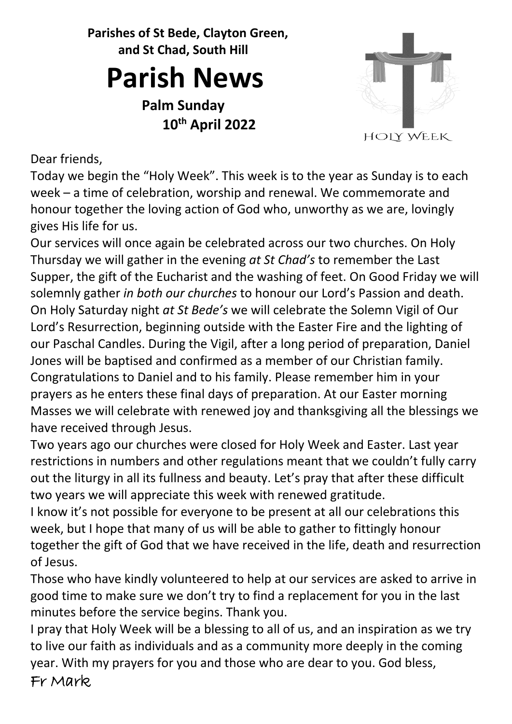**Parishes of St Bede, Clayton Green, and St Chad, South Hill**

## **Parish News**

**Palm Sunday 10th April 2022**



Dear friends,

Today we begin the "Holy Week". This week is to the year as Sunday is to each week – a time of celebration, worship and renewal. We commemorate and honour together the loving action of God who, unworthy as we are, lovingly gives His life for us.

Our services will once again be celebrated across our two churches. On Holy Thursday we will gather in the evening *at St Chad's* to remember the Last Supper, the gift of the Eucharist and the washing of feet. On Good Friday we will solemnly gather *in both our churches* to honour our Lord's Passion and death. On Holy Saturday night *at St Bede's* we will celebrate the Solemn Vigil of Our Lord's Resurrection, beginning outside with the Easter Fire and the lighting of our Paschal Candles. During the Vigil, after a long period of preparation, Daniel Jones will be baptised and confirmed as a member of our Christian family. Congratulations to Daniel and to his family. Please remember him in your prayers as he enters these final days of preparation. At our Easter morning Masses we will celebrate with renewed joy and thanksgiving all the blessings we have received through Jesus.

Two years ago our churches were closed for Holy Week and Easter. Last year restrictions in numbers and other regulations meant that we couldn't fully carry out the liturgy in all its fullness and beauty. Let's pray that after these difficult two years we will appreciate this week with renewed gratitude.

I know it's not possible for everyone to be present at all our celebrations this week, but I hope that many of us will be able to gather to fittingly honour together the gift of God that we have received in the life, death and resurrection of Jesus.

Those who have kindly volunteered to help at our services are asked to arrive in good time to make sure we don't try to find a replacement for you in the last minutes before the service begins. Thank you.

I pray that Holy Week will be a blessing to all of us, and an inspiration as we try to live our faith as individuals and as a community more deeply in the coming year. With my prayers for you and those who are dear to you. God bless, Fr Mark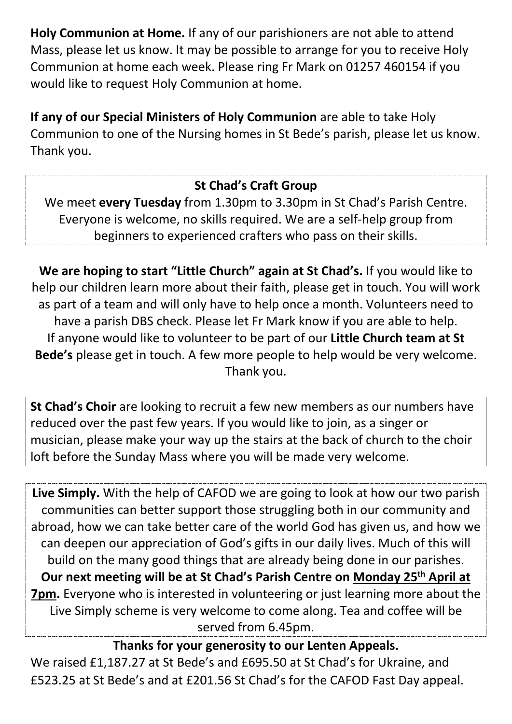**Holy Communion at Home.** If any of our parishioners are not able to attend Mass, please let us know. It may be possible to arrange for you to receive Holy Communion at home each week. Please ring Fr Mark on 01257 460154 if you would like to request Holy Communion at home.

**If any of our Special Ministers of Holy Communion** are able to take Holy Communion to one of the Nursing homes in St Bede's parish, please let us know. Thank you.

## **St Chad's Craft Group**

We meet **every Tuesday** from 1.30pm to 3.30pm in St Chad's Parish Centre. Everyone is welcome, no skills required. We are a self-help group from beginners to experienced crafters who pass on their skills.

**We are hoping to start "Little Church" again at St Chad's.** If you would like to help our children learn more about their faith, please get in touch. You will work as part of a team and will only have to help once a month. Volunteers need to have a parish DBS check. Please let Fr Mark know if you are able to help. If anyone would like to volunteer to be part of our **Little Church team at St Bede's** please get in touch. A few more people to help would be very welcome. Thank you.

**St Chad's Choir** are looking to recruit a few new members as our numbers have reduced over the past few years. If you would like to join, as a singer or musician, please make your way up the stairs at the back of church to the choir loft before the Sunday Mass where you will be made very welcome.

**Live Simply.** With the help of CAFOD we are going to look at how our two parish communities can better support those struggling both in our community and abroad, how we can take better care of the world God has given us, and how we can deepen our appreciation of God's gifts in our daily lives. Much of this will build on the many good things that are already being done in our parishes. **Our next meeting will be at St Chad's Parish Centre on Monday 25th April at 7pm.** Everyone who is interested in volunteering or just learning more about the Live Simply scheme is very welcome to come along. Tea and coffee will be served from 6.45pm.

**Thanks for your generosity to our Lenten Appeals.**

We raised £1,187.27 at St Bede's and £695.50 at St Chad's for Ukraine, and £523.25 at St Bede's and at £201.56 St Chad's for the CAFOD Fast Day appeal.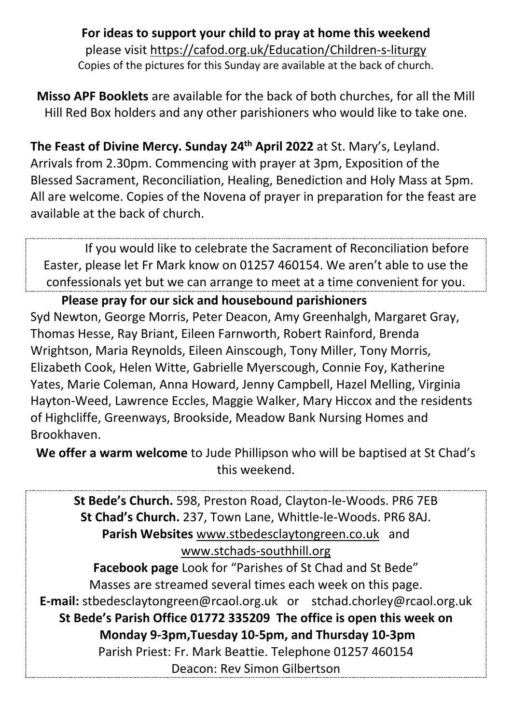**For ideas to support your child to pray at home this weekend**  please visit<https://cafod.org.uk/Education/Children-s-liturgy> Copies of the pictures for this Sunday are available at the back of church.

**Misso APF Booklets** are available for the back of both churches, for all the Mill Hill Red Box holders and any other parishioners who would like to take one.

**The Feast of Divine Mercy. Sunday 24th April 2022** at St. Mary's, Leyland. Arrivals from 2.30pm. Commencing with prayer at 3pm, Exposition of the Blessed Sacrament, Reconciliation, Healing, Benediction and Holy Mass at 5pm. All are welcome. Copies of the Novena of prayer in preparation for the feast are available at the back of church.

 If you would like to celebrate the Sacrament of Reconciliation before Easter, please let Fr Mark know on 01257 460154. We aren't able to use the confessionals yet but we can arrange to meet at a time convenient for you.

**Please pray for our sick and housebound parishioners** Syd Newton, George Morris, Peter Deacon, Amy Greenhalgh, Margaret Gray, Thomas Hesse, Ray Briant, Eileen Farnworth, Robert Rainford, Brenda Wrightson, Maria Reynolds, Eileen Ainscough, Tony Miller, Tony Morris, Elizabeth Cook, Helen Witte, Gabrielle Myerscough, Connie Foy, Katherine Yates, Marie Coleman, Anna Howard, Jenny Campbell, Hazel Melling, Virginia Hayton-Weed, Lawrence Eccles, Maggie Walker, Mary Hiccox and the residents of Highcliffe, Greenways, Brookside, Meadow Bank Nursing Homes and Brookhaven.

**We offer a warm welcome** to Jude Phillipson who will be baptised at St Chad's this weekend.

**St Bede's Church.** 598, Preston Road, Clayton-le-Woods. PR6 7EB **St Chad's Church.** 237, Town Lane, Whittle-le-Woods. PR6 8AJ. Parish Websites [www.stbedesclaytongreen.co.uk](http://www.stbedesclaytongreen.co.uk/) and [www.stchads-southhill.org](http://www.stchads-southhill.org/) **Facebook page** Look for "Parishes of St Chad and St Bede" Masses are streamed several times each week on this page. **E-mail:** [stbedesclaytongreen@rcaol.org.uk](mailto:stbedesclaytongreen@rcaol.org.uk) or [stchad.chorley@rcaol.org.uk](mailto:stchad.chorley@rcaol.org.uk) **St Bede's Parish Office 01772 335209 The office is open this week on Monday 9-3pm,Tuesday 10-5pm, and Thursday 10-3pm**  Parish Priest: Fr. Mark Beattie. Telephone 01257 460154 Deacon: Rev Simon Gilbertson